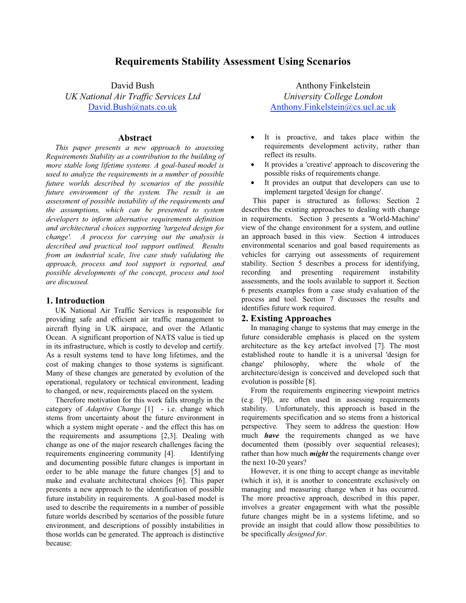# **Requirements Stability Assessment Using Scenarios**

David Bush *UK National Air Traffic Services Ltd*  David.Bush@nats.co.uk

#### **Abstract**

*This paper presents a new approach to assessing Requirements Stability as a contribution to the building of more stable long lifetime systems. A goal-based model is used to analyze the requirements in a number of possible future worlds described by scenarios of the possible future environment of the system. The result is an assessment of possible instability of the requirements and the assumptions, which can be presented to system developers to inform alternative requirements definition and architectural choices supporting 'targeted design for change'. A process for carrying out the analysis is described and practical tool support outlined. Results from an industrial scale, live case study validating the approach, process and tool support is reported, and possible developments of the concept, process and tool are discussed.*

## **1. Introduction**

UK National Air Traffic Services is responsible for providing safe and efficient air traffic management to aircraft flying in UK airspace, and over the Atlantic Ocean. A significant proportion of NATS value is tied up in its infrastructure, which is costly to develop and certify. As a result systems tend to have long lifetimes, and the cost of making changes to those systems is significant. Many of these changes are generated by evolution of the operational, regulatory or technical environment, leading to changed, or new, requirements placed on the system.

Therefore motivation for this work falls strongly in the category of *Adaptive Change* [1] - i.e. change which stems from uncertainty about the future environment in which a system might operate - and the effect this has on the requirements and assumptions [2,3]. Dealing with change as one of the major research challenges facing the requirements engineering community [4]. Identifying and documenting possible future changes is important in order to be able manage the future changes [5] and to make and evaluate architectural choices [6]. This paper presents a new approach to the identification of possible future instability in requirements. A goal-based model is used to describe the requirements in a number of possible future worlds described by scenarios of the possible future environment, and descriptions of possibly instabilities in those worlds can be generated. The approach is distinctive because:

Anthony Finkelstein *University College London*  Anthony.Finkelstein@cs.ucl.ac.uk

- It is proactive, and takes place within the requirements development activity, rather than reflect its results.
- It provides a 'creative' approach to discovering the possible risks of requirements change.
- It provides an output that developers can use to implement targeted 'design for change'.

This paper is structured as follows: Section 2 describes the existing approaches to dealing with change in requirements. Section 3 presents a 'World-Machine' view of the change environment for a system, and outline an approach based in this view. Section 4 introduces environmental scenarios and goal based requirements as vehicles for carrying out assessments of requirement stability. Section 5 describes a process for identifying, recording and presenting requirement instability assessments, and the tools available to support it. Section 6 presents examples from a case study evaluation of the process and tool. Section 7 discusses the results and identifies future work required.

## **2. Existing Approaches**

In managing change to systems that may emerge in the future considerable emphasis is placed on the system architecture as the key artefact involved [7]. The most established route to handle it is a universal 'design for change' philosophy, where the whole of the architecture/design is conceived and developed such that evolution is possible [8].

From the requirements engineering viewpoint metrics (e.g. [9]), are often used in assessing requirements stability. Unfortunately, this approach is based in the requirements specification and so stems from a historical perspective. They seem to address the question: How much *have* the requirements changed as we have documented them (possibly over sequential releases); rather than how much *might* the requirements change over the next 10-20 years?

However, it is one thing to accept change as inevitable (which it is), it is another to concentrate exclusively on managing and measuring change when it has occurred. The more proactive approach, described in this paper, involves a greater engagement with what the possible future changes might be in a systems lifetime, and so provide an insight that could allow those possibilities to be specifically *designed for*.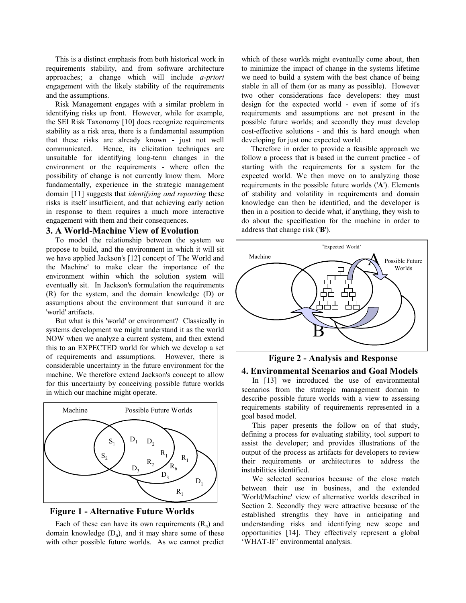This is a distinct emphasis from both historical work in requirements stability, and from software architecture approaches; a change which will include *a-priori* engagement with the likely stability of the requirements and the assumptions.

Risk Management engages with a similar problem in identifying risks up front. However, while for example, the SEI Risk Taxonomy [10] does recognize requirements stability as a risk area, there is a fundamental assumption that these risks are already known - just not well communicated. Hence, its elicitation techniques are unsuitable for identifying long-term changes in the environment or the requirements - where often the possibility of change is not currently know them. More fundamentally, experience in the strategic management domain [11] suggests that *identifying and reporting* these risks is itself insufficient, and that achieving early action in response to them requires a much more interactive engagement with them and their consequences.

## **3. A World-Machine View of Evolution**

To model the relationship between the system we propose to build, and the environment in which it will sit we have applied Jackson's [12] concept of 'The World and the Machine' to make clear the importance of the environment within which the solution system will eventually sit. In Jackson's formulation the requirements (R) for the system, and the domain knowledge (D) or assumptions about the environment that surround it are 'world' artifacts.

But what is this 'world' or environment? Classically in systems development we might understand it as the world NOW when we analyze a current system, and then extend this to an EXPECTED world for which we develop a set of requirements and assumptions. However, there is considerable uncertainty in the future environment for the machine. We therefore extend Jackson's concept to allow for this uncertainty by conceiving possible future worlds in which our machine might operate.





Each of these can have its own requirements  $(R_n)$  and domain knowledge  $(D_n)$ , and it may share some of these with other possible future worlds. As we cannot predict

which of these worlds might eventually come about, then to minimize the impact of change in the systems lifetime we need to build a system with the best chance of being stable in all of them (or as many as possible). However two other considerations face developers: they must design for the expected world - even if some of it's requirements and assumptions are not present in the possible future worlds; and secondly they must develop cost-effective solutions - and this is hard enough when developing for just one expected world.

Therefore in order to provide a feasible approach we follow a process that is based in the current practice - of starting with the requirements for a system for the expected world. We then move on to analyzing those requirements in the possible future worlds ('**A**'). Elements of stability and volatility in requirements and domain knowledge can then be identified, and the developer is then in a position to decide what, if anything, they wish to do about the specification for the machine in order to address that change risk ('**B**').



## **Figure 2 - Analysis and Response**

### **4. Environmental Scenarios and Goal Models**

In [13] we introduced the use of environmental scenarios from the strategic management domain to describe possible future worlds with a view to assessing requirements stability of requirements represented in a goal based model.

This paper presents the follow on of that study, defining a process for evaluating stability, tool support to assist the developer; and provides illustrations of the output of the process as artifacts for developers to review their requirements or architectures to address the instabilities identified.

We selected scenarios because of the close match between their use in business, and the extended 'World/Machine' view of alternative worlds described in Section 2. Secondly they were attractive because of the established strengths they have in anticipating and understanding risks and identifying new scope and opportunities [14]. They effectively represent a global 'WHAT-IF' environmental analysis.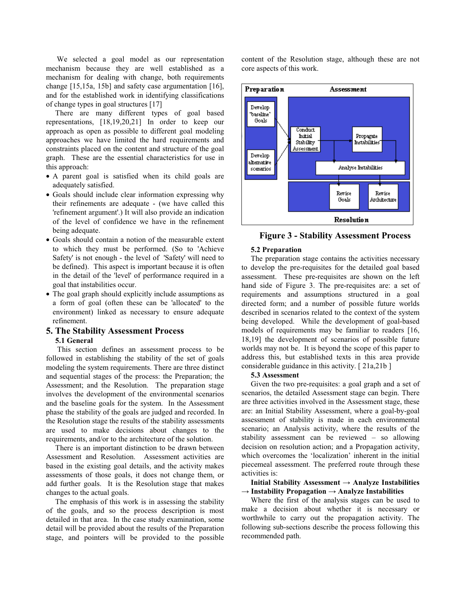We selected a goal model as our representation mechanism because they are well established as a mechanism for dealing with change, both requirements change [15,15a, 15b] and safety case argumentation [16], and for the established work in identifying classifications of change types in goal structures [17]

There are many different types of goal based representations, [18,19,20,21] In order to keep our approach as open as possible to different goal modeling approaches we have limited the hard requirements and constraints placed on the content and structure of the goal graph. These are the essential characteristics for use in this approach:

- A parent goal is satisfied when its child goals are adequately satisfied.
- Goals should include clear information expressing why their refinements are adequate - (we have called this 'refinement argument'.) It will also provide an indication of the level of confidence we have in the refinement being adequate.
- Goals should contain a notion of the measurable extent to which they must be performed. (So to 'Achieve Safety' is not enough - the level of 'Safety' will need to be defined). This aspect is important because it is often in the detail of the 'level' of performance required in a goal that instabilities occur.
- The goal graph should explicitly include assumptions as a form of goal (often these can be 'allocated' to the environment) linked as necessary to ensure adequate refinement.

# **5. The Stability Assessment Process**

## **5.1 General**

This section defines an assessment process to be followed in establishing the stability of the set of goals modeling the system requirements. There are three distinct and sequential stages of the process: the Preparation; the Assessment; and the Resolution. The preparation stage involves the development of the environmental scenarios and the baseline goals for the system. In the Assessment phase the stability of the goals are judged and recorded. In the Resolution stage the results of the stability assessments are used to make decisions about changes to the requirements, and/or to the architecture of the solution.

There is an important distinction to be drawn between Assessment and Resolution. Assessment activities are based in the existing goal details, and the activity makes assessments of those goals, it does not change them, or add further goals. It is the Resolution stage that makes changes to the actual goals.

The emphasis of this work is in assessing the stability of the goals, and so the process description is most detailed in that area. In the case study examination, some detail will be provided about the results of the Preparation stage, and pointers will be provided to the possible content of the Resolution stage, although these are not core aspects of this work.



**Figure 3 - Stability Assessment Process**

#### **5.2 Preparation**

The preparation stage contains the activities necessary to develop the pre-requisites for the detailed goal based assessment. These pre-requisites are shown on the left hand side of Figure 3. The pre-requisites are: a set of requirements and assumptions structured in a goal directed form; and a number of possible future worlds described in scenarios related to the context of the system being developed. While the development of goal-based models of requirements may be familiar to readers [16, 18,19] the development of scenarios of possible future worlds may not be. It is beyond the scope of this paper to address this, but established texts in this area provide considerable guidance in this activity. [ 21a,21b ]

### **5.3 Assessment**

Given the two pre-requisites: a goal graph and a set of scenarios, the detailed Assessment stage can begin. There are three activities involved in the Assessment stage, these are: an Initial Stability Assessment, where a goal-by-goal assessment of stability is made in each environmental scenario; an Analysis activity, where the results of the stability assessment can be reviewed – so allowing decision on resolution action; and a Propagation activity, which overcomes the 'localization' inherent in the initial piecemeal assessment. The preferred route through these activities is:

Initial Stability Assessment  $\rightarrow$  Analyze Instabilities  $\rightarrow$  Instability Propagation  $\rightarrow$  Analyze Instabilities

Where the first of the analysis stages can be used to make a decision about whether it is necessary or worthwhile to carry out the propagation activity. The following sub-sections describe the process following this recommended path.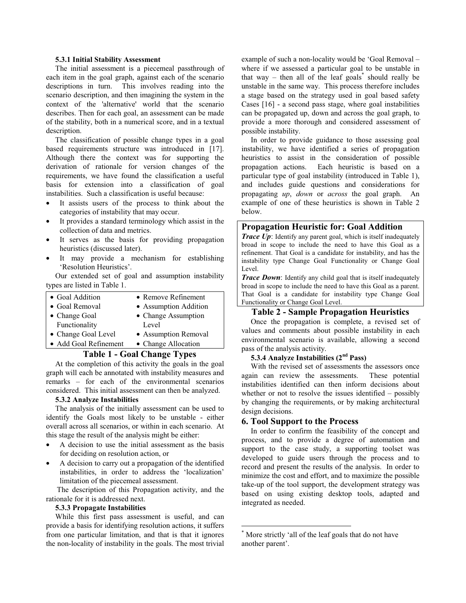#### **5.3.1 Initial Stability Assessment**

The initial assessment is a piecemeal passthrough of each item in the goal graph, against each of the scenario descriptions in turn. This involves reading into the scenario description, and then imagining the system in the context of the 'alternative' world that the scenario describes. Then for each goal, an assessment can be made of the stability, both in a numerical score, and in a textual description.

The classification of possible change types in a goal based requirements structure was introduced in [17]. Although there the context was for supporting the derivation of rationale for version changes of the requirements, we have found the classification a useful basis for extension into a classification of goal instabilities. Such a classification is useful because:

- It assists users of the process to think about the categories of instability that may occur.
- It provides a standard terminology which assist in the collection of data and metrics.
- It serves as the basis for providing propagation heuristics (discussed later).
- It may provide a mechanism for establishing 'Resolution Heuristics'.

Our extended set of goal and assumption instability types are listed in Table 1.

| • Goal Addition       | • Remove Refinement   |
|-----------------------|-----------------------|
| • Goal Removal        | • Assumption Addition |
| • Change Goal         | • Change Assumption   |
| Functionality         | Level                 |
| • Change Goal Level   | • Assumption Removal  |
| • Add Goal Refinement | • Change Allocation   |

### **Table 1 - Goal Change Types**

At the completion of this activity the goals in the goal graph will each be annotated with instability measures and remarks – for each of the environmental scenarios considered. This initial assessment can then be analyzed.

#### **5.3.2 Analyze Instabilities**

The analysis of the initially assessment can be used to identify the Goals most likely to be unstable - either overall across all scenarios, or within in each scenario. At this stage the result of the analysis might be either:

- A decision to use the initial assessment as the basis for deciding on resolution action, or
- A decision to carry out a propagation of the identified instabilities, in order to address the 'localization' limitation of the piecemeal assessment.

The description of this Propagation activity, and the rationale for it is addressed next.

## **5.3.3 Propagate Instabilities**

While this first pass assessment is useful, and can provide a basis for identifying resolution actions, it suffers from one particular limitation, and that is that it ignores the non-locality of instability in the goals. The most trivial example of such a non-locality would be 'Goal Removal – where if we assessed a particular goal to be unstable in that way – then all of the leaf goals \* should really be unstable in the same way. This process therefore includes a stage based on the strategy used in goal based safety Cases [16] - a second pass stage, where goal instabilities can be propagated up, down and across the goal graph, to provide a more thorough and considered assessment of possible instability.

In order to provide guidance to those assessing goal instability, we have identified a series of propagation heuristics to assist in the consideration of possible propagation actions. Each heuristic is based on a particular type of goal instability (introduced in Table 1), and includes guide questions and considerations for propagating *up*, *down* or *across* the goal graph. An example of one of these heuristics is shown in Table 2 below.

## **Propagation Heuristic for: Goal Addition**

*Trace* Up: Identify any parent goal, which is itself inadequately broad in scope to include the need to have this Goal as a refinement. That Goal is a candidate for instability, and has the instability type Change Goal Functionality or Change Goal Level.

*Trace Down*: Identify any child goal that is itself inadequately broad in scope to include the need to have this Goal as a parent. That Goal is a candidate for instability type Change Goal Functionality or Change Goal Level.

### **Table 2 - Sample Propagation Heuristics**

Once the propagation is complete, a revised set of values and comments about possible instability in each environmental scenario is available, allowing a second pass of the analysis activity.

## **5.3.4 Analyze Instabilities (2nd Pass)**

With the revised set of assessments the assessors once again can review the assessments. These potential instabilities identified can then inform decisions about whether or not to resolve the issues identified – possibly by changing the requirements, or by making architectural design decisions.

## **6. Tool Support to the Process**

In order to confirm the feasibility of the concept and process, and to provide a degree of automation and support to the case study, a supporting toolset was developed to guide users through the process and to record and present the results of the analysis. In order to minimize the cost and effort, and to maximize the possible take-up of the tool support, the development strategy was based on using existing desktop tools, adapted and integrated as needed.

<sup>\*</sup> More strictly 'all of the leaf goals that do not have another parent'.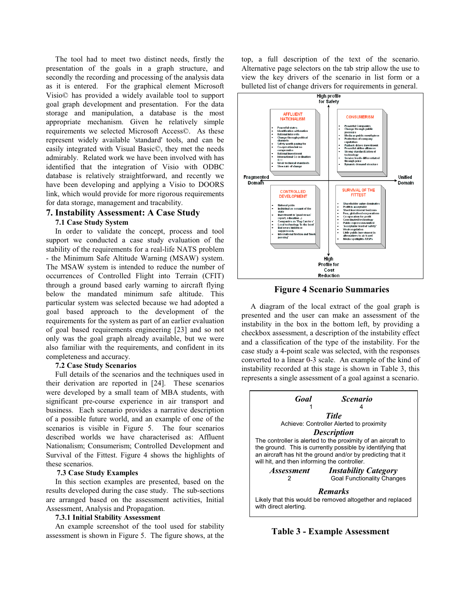The tool had to meet two distinct needs, firstly the presentation of the goals in a graph structure, and secondly the recording and processing of the analysis data as it is entered. For the graphical element Microsoft Visio© has provided a widely available tool to support goal graph development and presentation. For the data storage and manipulation, a database is the most appropriate mechanism. Given he relatively simple requirements we selected Microsoft Access©. As these represent widely available 'standard' tools, and can be easily integrated with Visual Basic©, they met the needs admirably. Related work we have been involved with has identified that the integration of Visio with ODBC database is relatively straightforward, and recently we have been developing and applying a Visio to DOORS link, which would provide for more rigorous requirements for data storage, management and tracability.

## **7. Instability Assessment: A Case Study**

## **7.1 Case Study System**

In order to validate the concept, process and tool support we conducted a case study evaluation of the stability of the requirements for a real-life NATS problem - the Minimum Safe Altitude Warning (MSAW) system. The MSAW system is intended to reduce the number of occurrences of Controlled Flight into Terrain (CFIT) through a ground based early warning to aircraft flying below the mandated minimum safe altitude. This particular system was selected because we had adopted a goal based approach to the development of the requirements for the system as part of an earlier evaluation of goal based requirements engineering [23] and so not only was the goal graph already available, but we were also familiar with the requirements, and confident in its completeness and accuracy.

#### **7.2 Case Study Scenarios**

Full details of the scenarios and the techniques used in their derivation are reported in [24]. These scenarios were developed by a small team of MBA students, with significant pre-course experience in air transport and business. Each scenario provides a narrative description of a possible future world, and an example of one of the scenarios is visible in Figure 5. The four scenarios described worlds we have characterised as: Affluent Nationalism; Consumerism; Controlled Development and Survival of the Fittest. Figure 4 shows the highlights of these scenarios.

## **7.3 Case Study Examples**

In this section examples are presented, based on the results developed during the case study. The sub-sections are arranged based on the assessment activities, Initial Assessment, Analysis and Propagation.

#### **7.3.1 Initial Stability Assessment**

An example screenshot of the tool used for stability assessment is shown in Figure 5. The figure shows, at the top, a full description of the text of the scenario. Alternative page selectors on the tab strip allow the use to view the key drivers of the scenario in list form or a bulleted list of change drivers for requirements in general.



**Figure 4 Scenario Summaries**

A diagram of the local extract of the goal graph is presented and the user can make an assessment of the instability in the box in the bottom left, by providing a checkbox assessment, a description of the instability effect and a classification of the type of the instability. For the case study a 4-point scale was selected, with the responses converted to a linear 0-3 scale. An example of the kind of instability recorded at this stage is shown in Table 3, this represents a single assessment of a goal against a scenario.



**Table 3 - Example Assessment**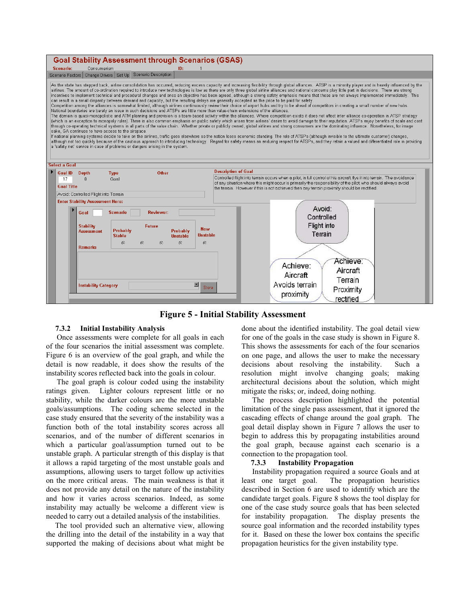|                                                                                                                                                                                                                                                                                                                                                                                                                                                                                                                                                                                                                                                                                                                                                                                                                                                                                                                                                                                                                                                                                                                                                                                                                                                                                                                                                                                                                                                                                                                                                                                                                                                                                                                                                                                                                                                                                                                                                                                                                                                                                                                                                                                                                                                                                                                      |                                                                                                              | <b>Goal Stability Assessment through Scenarios (GSAS)</b>                                                                     |                                                                                                                                             |                                                                                                                                                                                                                                                                                                                                                                         |  |  |
|----------------------------------------------------------------------------------------------------------------------------------------------------------------------------------------------------------------------------------------------------------------------------------------------------------------------------------------------------------------------------------------------------------------------------------------------------------------------------------------------------------------------------------------------------------------------------------------------------------------------------------------------------------------------------------------------------------------------------------------------------------------------------------------------------------------------------------------------------------------------------------------------------------------------------------------------------------------------------------------------------------------------------------------------------------------------------------------------------------------------------------------------------------------------------------------------------------------------------------------------------------------------------------------------------------------------------------------------------------------------------------------------------------------------------------------------------------------------------------------------------------------------------------------------------------------------------------------------------------------------------------------------------------------------------------------------------------------------------------------------------------------------------------------------------------------------------------------------------------------------------------------------------------------------------------------------------------------------------------------------------------------------------------------------------------------------------------------------------------------------------------------------------------------------------------------------------------------------------------------------------------------------------------------------------------------------|--------------------------------------------------------------------------------------------------------------|-------------------------------------------------------------------------------------------------------------------------------|---------------------------------------------------------------------------------------------------------------------------------------------|-------------------------------------------------------------------------------------------------------------------------------------------------------------------------------------------------------------------------------------------------------------------------------------------------------------------------------------------------------------------------|--|--|
| Scenario:                                                                                                                                                                                                                                                                                                                                                                                                                                                                                                                                                                                                                                                                                                                                                                                                                                                                                                                                                                                                                                                                                                                                                                                                                                                                                                                                                                                                                                                                                                                                                                                                                                                                                                                                                                                                                                                                                                                                                                                                                                                                                                                                                                                                                                                                                                            | Consumerism                                                                                                  |                                                                                                                               | ID:                                                                                                                                         |                                                                                                                                                                                                                                                                                                                                                                         |  |  |
|                                                                                                                                                                                                                                                                                                                                                                                                                                                                                                                                                                                                                                                                                                                                                                                                                                                                                                                                                                                                                                                                                                                                                                                                                                                                                                                                                                                                                                                                                                                                                                                                                                                                                                                                                                                                                                                                                                                                                                                                                                                                                                                                                                                                                                                                                                                      |                                                                                                              | Scenario Factors   Change Drivers   Set Up   Scenario Description                                                             |                                                                                                                                             |                                                                                                                                                                                                                                                                                                                                                                         |  |  |
| As the state has stepped back, airline consolidation has occurred, reducing excess capacity and increasing flexibility through global alliances. ATSP is a minority player and is heavily influenced by the<br>airlines. The amount of co-ordination required to introduce new technologies is low as there are only three global airline alliances and national concerns play little part in decisions. There are strong<br>incentives to implement technical and procedural changes and once an objective has been agreed, although a strong safety emphasis means that these are not always implemented immediately. This<br>can result in a small disparity between demand and capacity, but the resulting delays are generally accepted as the price to be paid for safety.<br>Competition among the alliances is somewhat limited, although airlines continuously review their choice of airport hubs and try to be ahead of competitors in creating a small number of new hubs.<br>National boundaries are barely an issue in such decisions and ATSPs are little more than value-chain extensions of the alliances.<br>The domain is quasi-monopolistic and ATM planning and provision is a team-based activity within the alliances. Where competition exists it does not affect inter alliance co-operation in ATSP strategy<br>(which is an exception to monopoly rules). There is also common emphasis on public safety which arises from airlines' desire to avoid damage to their reputation. ATSPs enjoy benefits of scale and cost<br>through co-operating technical systems in all parts of the value chain. Whether private or publicly owned, global airlines and strong consumers are the dominating influence. Nonetheless, for image<br>sake, GA continues to have access to the airspace.<br>If national planning systems decide to take on the airlines, traffic goes elsewhere so the nation loses economic standing. The role of ATSPs (although invisible to the ultimate customer) changes,<br>although not too quickly because of the cautious approach to introducing technology. Regard for safety means an enduring respect for ATSPs, and they retain a valued and differentiated role in providing<br>a 'safety net' service in case of problems or dangers arising in the system. |                                                                                                              |                                                                                                                               |                                                                                                                                             |                                                                                                                                                                                                                                                                                                                                                                         |  |  |
|                                                                                                                                                                                                                                                                                                                                                                                                                                                                                                                                                                                                                                                                                                                                                                                                                                                                                                                                                                                                                                                                                                                                                                                                                                                                                                                                                                                                                                                                                                                                                                                                                                                                                                                                                                                                                                                                                                                                                                                                                                                                                                                                                                                                                                                                                                                      |                                                                                                              |                                                                                                                               |                                                                                                                                             |                                                                                                                                                                                                                                                                                                                                                                         |  |  |
| <b>Select a Goal</b>                                                                                                                                                                                                                                                                                                                                                                                                                                                                                                                                                                                                                                                                                                                                                                                                                                                                                                                                                                                                                                                                                                                                                                                                                                                                                                                                                                                                                                                                                                                                                                                                                                                                                                                                                                                                                                                                                                                                                                                                                                                                                                                                                                                                                                                                                                 |                                                                                                              |                                                                                                                               |                                                                                                                                             |                                                                                                                                                                                                                                                                                                                                                                         |  |  |
| <b>Goal ID</b><br>17<br><b>Goal Title</b>                                                                                                                                                                                                                                                                                                                                                                                                                                                                                                                                                                                                                                                                                                                                                                                                                                                                                                                                                                                                                                                                                                                                                                                                                                                                                                                                                                                                                                                                                                                                                                                                                                                                                                                                                                                                                                                                                                                                                                                                                                                                                                                                                                                                                                                                            | <b>Depth</b><br>$\Omega$<br>Avoid: Controlled Flight into Terrain<br><b>Enter Stability Assessment Here:</b> | <b>Other</b><br><b>Type</b><br>Goal                                                                                           |                                                                                                                                             | <b>Description of Goal</b><br>Controlled flight into terrain occurs when a pilot, in full control of his aircraft, flys it into terrain. The avoidance<br>of any situation where this might occur is primarily the responsibility of the pilot, who should always avoid<br>the terrain. However if this is not achieved then any terrain proximity should be rectified. |  |  |
|                                                                                                                                                                                                                                                                                                                                                                                                                                                                                                                                                                                                                                                                                                                                                                                                                                                                                                                                                                                                                                                                                                                                                                                                                                                                                                                                                                                                                                                                                                                                                                                                                                                                                                                                                                                                                                                                                                                                                                                                                                                                                                                                                                                                                                                                                                                      | Goal<br><b>Stability</b><br><b>Assessment</b><br><b>Remarks</b><br><b>Instability Category</b>               | <b>Scenario</b><br>Reviewer:<br><b>Future</b><br>Probably<br><b>Stable</b><br>$\circledcirc$<br>$\circledcirc$<br>$\circledR$ | <b>Now</b><br><b>Probably</b><br><b>Unstable</b><br><b>Unstable</b><br>$\overline{\omega}$<br>$\circledR$<br>$\blacksquare$<br><b>Store</b> | Avoid:<br>Controlled<br>Flight into<br>Terrain<br>Achieve:<br>Achieve:<br>Aircraft<br>Aircraft<br>Terrain<br>Avoids terrain<br>Proximity<br>proximity<br>rectified                                                                                                                                                                                                      |  |  |

**Figure 5 - Initial Stability Assessment** 

## **7.3.2 Initial Instability Analysis**

Once assessments were complete for all goals in each of the four scenarios the initial assessment was complete. Figure 6 is an overview of the goal graph, and while the detail is now readable, it does show the results of the instability scores reflected back into the goals in colour.

The goal graph is colour coded using the instability ratings given. Lighter colours represent little or no stability, while the darker colours are the more unstable goals/assumptions. The coding scheme selected in the case study ensured that the severity of the instability was a function both of the total instability scores across all scenarios, and of the number of different scenarios in which a particular goal/assumption turned out to be unstable graph. A particular strength of this display is that it allows a rapid targeting of the most unstable goals and assumptions, allowing users to target follow up activities on the more critical areas. The main weakness is that it does not provide any detail on the nature of the instability and how it varies across scenarios. Indeed, as some instability may actually be welcome a different view is needed to carry out a detailed analysis of the instabilities.

The tool provided such an alternative view, allowing the drilling into the detail of the instability in a way that supported the making of decisions about what might be

done about the identified instability. The goal detail view for one of the goals in the case study is shown in Figure 8. This shows the assessments for each of the four scenarios on one page, and allows the user to make the necessary decisions about resolving the instability. Such a resolution might involve changing goals; making architectural decisions about the solution, which might mitigate the risks; or, indeed, doing nothing.

The process description highlighted the potential limitation of the single pass assessment, that it ignored the cascading effects of change around the goal graph. The goal detail display shown in Figure 7 allows the user to begin to address this by propagating instabilities around the goal graph, because against each scenario is a connection to the propagation tool.

## **7.3.3 Instability Propagation**

Instability propagation required a source Goals and at least one target goal. The propagation heuristics described in Section 6 are used to identify which are the candidate target goals. Figure 8 shows the tool display for one of the case study source goals that has been selected for instability propagation. The display presents the source goal information and the recorded instability types for it. Based on these the lower box contains the specific propagation heuristics for the given instability type.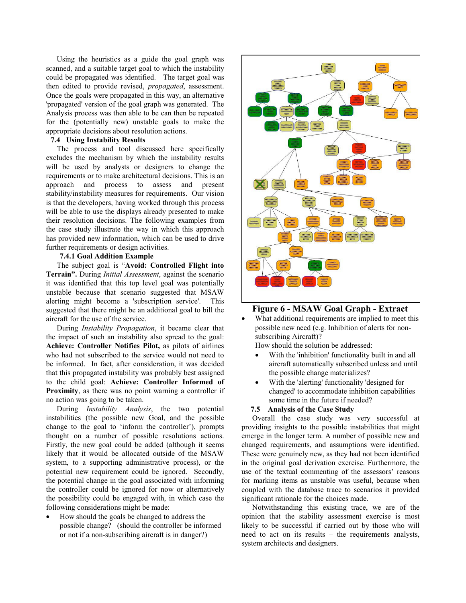Using the heuristics as a guide the goal graph was scanned, and a suitable target goal to which the instability could be propagated was identified. The target goal was then edited to provide revised, *propagated*, assessment. Once the goals were propagated in this way, an alternative 'propagated' version of the goal graph was generated. The Analysis process was then able to be can then be repeated for the (potentially new) unstable goals to make the appropriate decisions about resolution actions.

### **7.4 Using Instability Results**

The process and tool discussed here specifically excludes the mechanism by which the instability results will be used by analysts or designers to change the requirements or to make architectural decisions. This is an approach and process to assess and present stability/instability measures for requirements. Our vision is that the developers, having worked through this process will be able to use the displays already presented to make their resolution decisions. The following examples from the case study illustrate the way in which this approach has provided new information, which can be used to drive further requirements or design activities.

## **7.4.1 Goal Addition Example**

The subject goal is "**Avoid: Controlled Flight into Terrain".** During *Initial Assessment*, against the scenario it was identified that this top level goal was potentially unstable because that scenario suggested that MSAW alerting might become a 'subscription service'. This suggested that there might be an additional goal to bill the aircraft for the use of the service.

During *Instability Propagation*, it became clear that the impact of such an instability also spread to the goal: **Achieve: Controller Notifies Pilot,** as pilots of airlines who had not subscribed to the service would not need to be informed. In fact, after consideration, it was decided that this propagated instability was probably best assigned to the child goal: **Achieve: Controller Informed of Proximity**, as there was no point warning a controller if no action was going to be taken.

During *Instability Analysis*, the two potential instabilities (the possible new Goal, and the possible change to the goal to 'inform the controller'), prompts thought on a number of possible resolutions actions. Firstly, the new goal could be added (although it seems likely that it would be allocated outside of the MSAW system, to a supporting administrative process), or the potential new requirement could be ignored. Secondly, the potential change in the goal associated with informing the controller could be ignored for now or alternatively the possibility could be engaged with, in which case the following considerations might be made:

• How should the goals be changed to address the possible change? (should the controller be informed or not if a non-subscribing aircraft is in danger?)



#### **Figure 6 - MSAW Goal Graph - Extract**

What additional requirements are implied to meet this possible new need (e.g. Inhibition of alerts for nonsubscribing Aircraft)?

How should the solution be addressed:

- With the 'inhibition' functionality built in and all aircraft automatically subscribed unless and until the possible change materializes?
- With the 'alerting' functionality 'designed for changed' to accommodate inhibition capabilities some time in the future if needed?

### **7.5 Analysis of the Case Study**

Overall the case study was very successful at providing insights to the possible instabilities that might emerge in the longer term. A number of possible new and changed requirements, and assumptions were identified. These were genuinely new, as they had not been identified in the original goal derivation exercise. Furthermore, the use of the textual commenting of the assessors' reasons for marking items as unstable was useful, because when coupled with the database trace to scenarios it provided significant rationale for the choices made.

Notwithstanding this existing trace, we are of the opinion that the stability assessment exercise is most likely to be successful if carried out by those who will need to act on its results – the requirements analysts, system architects and designers.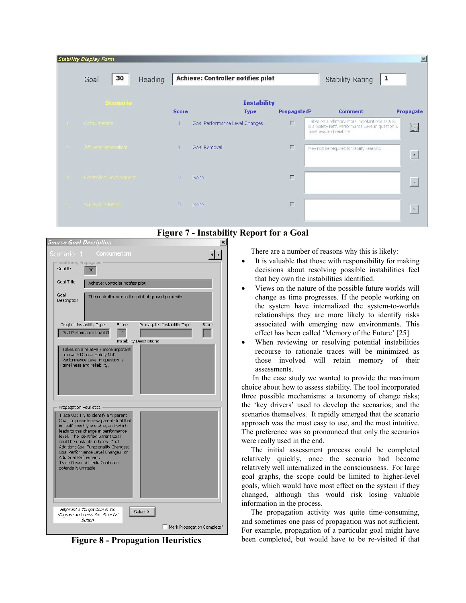|                              | <b>Stability Display Form</b><br>30<br>Heading<br>Goal |              | <b>Achieve: Controller notifies pilot</b> | $\mathbf{1}$<br><b>Stability Rating</b> | $\boldsymbol{\times}$                                                                                                                 |             |
|------------------------------|--------------------------------------------------------|--------------|-------------------------------------------|-----------------------------------------|---------------------------------------------------------------------------------------------------------------------------------------|-------------|
|                              | Scenario                                               | <b>Score</b> | <b>Instability</b><br><b>Type</b>         | Propagated?                             | <b>Comment</b>                                                                                                                        | Propagate   |
|                              | Consumerism                                            |              | Goal Performance Level Changes            | $\Gamma$                                | Takes on a relatively more impotant role as ATC<br>is a 'Safety Net'. Performance Level in question is<br>timeliness and reliability. | $\boxed{>}$ |
| -21                          | Affluent Nationalism                                   | $\mathbf{1}$ | Goal Removal                              | Г                                       | May not be required for liability reasons.                                                                                            | $\,$        |
| -31                          | Controlled Development                                 | $\circ$      | None                                      | $\Gamma$                                |                                                                                                                                       | $\, >$      |
| $\left  \frac{1}{2} \right $ | Survival of Fittest                                    | $\Omega$     | None                                      | Г                                       |                                                                                                                                       | $\geq$      |

| <i><b>Source Goal Decription</b></i>                                                                                                                                                                                                                                                                                                                                                                        | ×     |  |  |  |  |  |
|-------------------------------------------------------------------------------------------------------------------------------------------------------------------------------------------------------------------------------------------------------------------------------------------------------------------------------------------------------------------------------------------------------------|-------|--|--|--|--|--|
| Consumerism<br>Scenario 1                                                                                                                                                                                                                                                                                                                                                                                   |       |  |  |  |  |  |
| - Goal Being Propagated -                                                                                                                                                                                                                                                                                                                                                                                   |       |  |  |  |  |  |
| Goal ID<br>30                                                                                                                                                                                                                                                                                                                                                                                               |       |  |  |  |  |  |
| Goal Title<br>Achieve: Controller notifies pilot                                                                                                                                                                                                                                                                                                                                                            |       |  |  |  |  |  |
| Goal<br>The controller warns the pilot of ground proximity.<br>Description                                                                                                                                                                                                                                                                                                                                  |       |  |  |  |  |  |
| Original Instability Type<br>Score<br>Propagated Instability Type                                                                                                                                                                                                                                                                                                                                           | Score |  |  |  |  |  |
| Goal Performance Level Ch<br>$\mathbf{1}$                                                                                                                                                                                                                                                                                                                                                                   |       |  |  |  |  |  |
| <b>Instability Descriptions</b>                                                                                                                                                                                                                                                                                                                                                                             |       |  |  |  |  |  |
| Takes on a relatively more impotant<br>role as ATC is a 'Safety Net'.<br>Performance Level in question is<br>timeliness and reliability.                                                                                                                                                                                                                                                                    |       |  |  |  |  |  |
| Propagation Heuristics                                                                                                                                                                                                                                                                                                                                                                                      |       |  |  |  |  |  |
| Trace Up: Try to identify any parent<br>Goal, or possible new parent Goal that<br>is itself possibly unstable, and which<br>leads to this change in performance<br>level. The identified parent Goal<br>could be unstable in types: Goal<br>Addition; Goal Functionality Changes;<br>Goal Performance Level Changes; or<br>Add Goal Refinement.<br>Trace Down: All child Goals are<br>potentially unstable. |       |  |  |  |  |  |
| Highlight a Target Goal in the<br>Select ><br>diagram and press the 'Select>'<br>Button                                                                                                                                                                                                                                                                                                                     |       |  |  |  |  |  |
| Mark Propagation Complete?<br>L                                                                                                                                                                                                                                                                                                                                                                             |       |  |  |  |  |  |

# **Figure 7 - Instability Report for a Goal**

There are a number of reasons why this is likely:

- It is valuable that those with responsibility for making decisions about resolving possible instabilities feel that hey own the instabilities identified.
- Views on the nature of the possible future worlds will change as time progresses. If the people working on the system have internalized the system-to-worlds relationships they are more likely to identify risks associated with emerging new environments. This effect has been called 'Memory of the Future' [25].
- When reviewing or resolving potential instabilities recourse to rationale traces will be minimized as those involved will retain memory of their assessments.

In the case study we wanted to provide the maximum choice about how to assess stability. The tool incorporated three possible mechanisms: a taxonomy of change risks; the 'key drivers' used to develop the scenarios; and the scenarios themselves. It rapidly emerged that the scenario approach was the most easy to use, and the most intuitive. The preference was so pronounced that only the scenarios were really used in the end.

The initial assessment process could be completed relatively quickly, once the scenario had become relatively well internalized in the consciousness. For large goal graphs, the scope could be limited to higher-level goals, which would have most effect on the system if they changed, although this would risk losing valuable information in the process.

The propagation activity was quite time-consuming, and sometimes one pass of propagation was not sufficient. For example, propagation of a particular goal might have been completed, but would have to be re-visited if that

 **Figure 8 - Propagation Heuristics**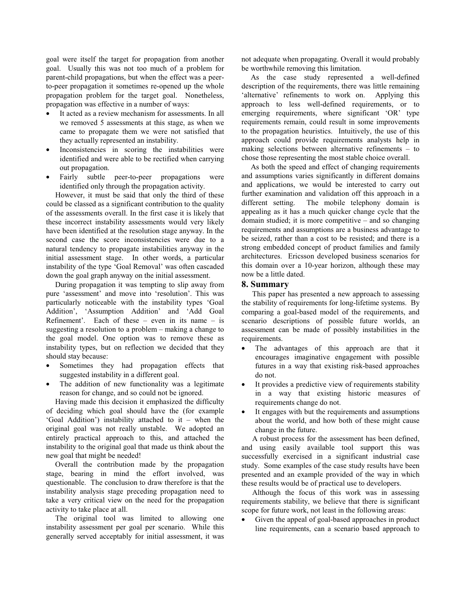goal were itself the target for propagation from another goal. Usually this was not too much of a problem for parent-child propagations, but when the effect was a peerto-peer propagation it sometimes re-opened up the whole propagation problem for the target goal. Nonetheless, propagation was effective in a number of ways:

- It acted as a review mechanism for assessments. In all we removed 5 assessments at this stage, as when we came to propagate them we were not satisfied that they actually represented an instability.
- Inconsistencies in scoring the instabilities were identified and were able to be rectified when carrying out propagation.
- Fairly subtle peer-to-peer propagations were identified only through the propagation activity.

However, it must be said that only the third of these could be classed as a significant contribution to the quality of the assessments overall. In the first case it is likely that these incorrect instability assessments would very likely have been identified at the resolution stage anyway. In the second case the score inconsistencies were due to a natural tendency to propagate instabilities anyway in the initial assessment stage. In other words, a particular instability of the type 'Goal Removal' was often cascaded down the goal graph anyway on the initial assessment.

During propagation it was tempting to slip away from pure 'assessment' and move into 'resolution'. This was particularly noticeable with the instability types 'Goal Addition', 'Assumption Addition' and 'Add Goal Refinement'. Each of these – even in its name – is suggesting a resolution to a problem – making a change to the goal model. One option was to remove these as instability types, but on reflection we decided that they should stay because:

- Sometimes they had propagation effects that suggested instability in a different goal.
- The addition of new functionality was a legitimate reason for change, and so could not be ignored.

Having made this decision it emphasized the difficulty of deciding which goal should have the (for example 'Goal Addition') instability attached to it – when the original goal was not really unstable. We adopted an entirely practical approach to this, and attached the instability to the original goal that made us think about the new goal that might be needed!

Overall the contribution made by the propagation stage, bearing in mind the effort involved, was questionable. The conclusion to draw therefore is that the instability analysis stage preceding propagation need to take a very critical view on the need for the propagation activity to take place at all.

The original tool was limited to allowing one instability assessment per goal per scenario. While this generally served acceptably for initial assessment, it was not adequate when propagating. Overall it would probably be worthwhile removing this limitation.

As the case study represented a well-defined description of the requirements, there was little remaining 'alternative' refinements to work on. Applying this approach to less well-defined requirements, or to emerging requirements, where significant 'OR' type requirements remain, could result in some improvements to the propagation heuristics. Intuitively, the use of this approach could provide requirements analysts help in making selections between alternative refinements – to chose those representing the most stable choice overall.

As both the speed and effect of changing requirements and assumptions varies significantly in different domains and applications, we would be interested to carry out further examination and validation off this approach in a different setting. The mobile telephony domain is appealing as it has a much quicker change cycle that the domain studied; it is more competitive – and so changing requirements and assumptions are a business advantage to be seized, rather than a cost to be resisted; and there is a strong embedded concept of product families and family architectures. Ericsson developed business scenarios for this domain over a 10-year horizon, although these may now be a little dated.

### **8. Summary**

This paper has presented a new approach to assessing the stability of requirements for long-lifetime systems. By comparing a goal-based model of the requirements, and scenario descriptions of possible future worlds, an assessment can be made of possibly instabilities in the requirements.

- The advantages of this approach are that it encourages imaginative engagement with possible futures in a way that existing risk-based approaches do not.
- It provides a predictive view of requirements stability in a way that existing historic measures of requirements change do not.
- It engages with but the requirements and assumptions about the world, and how both of these might cause change in the future.

A robust process for the assessment has been defined, and using easily available tool support this was successfully exercised in a significant industrial case study. Some examples of the case study results have been presented and an example provided of the way in which these results would be of practical use to developers.

Although the focus of this work was in assessing requirements stability, we believe that there is significant scope for future work, not least in the following areas:

• Given the appeal of goal-based approaches in product line requirements, can a scenario based approach to